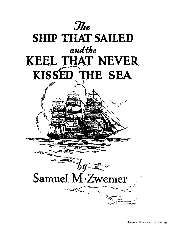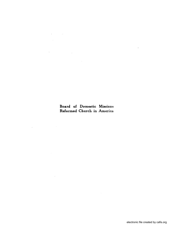Board of Domestic Missions Reformed Church in America

 $\sim 10^{-1}$ 

 $\overline{\phantom{a}}$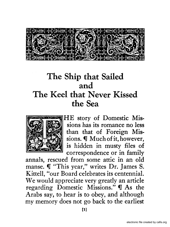

# **The Ship that Sailed and The Keel that Never Kissed the Sea**



**HE** story of Domestic Missions has its romance no less than that of Foreign Missions. **I** Much of it, however, is hidden in musty files of correspondence or in family

annals, rescued from some attic in an old manse.  $\P$  "This year," writes Dr. James S. Kittell, "our Board celebrates its centennial. We would appreciate very greatly an article regarding Domestic Missions."  $\mathbb I$  As the Arabs say, to hear is to obey, and although my memory does not go back to the earliest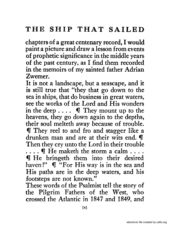chapters of a great centenary record, I would paint a picture and draw a lesson from events of prophetic significance in the middle years of the past century, as I find them recorded in the memoirs of my sainted father Adrian Zwemer.

It is not a landscape, but a seascape, and it is still true that "they that go down to the sea in ships, that do business in great waters, see the works of the Lord and His wonders in the deep....  $\mathbb{I}$  They mount up to the heavens, they go down again to the depths, their soul melteth away because of trouble. **If** They reel to and fro and stagger like a drunken man and are at their wits end.  $\P$ Then they cry unto the Lord in their trouble

 $\dots$   $\P$  He maketh the storm a calm  $\dots$  . If He bringeth them into their desired haven!"  $\P$  "For His way is in the sea and His paths are in the deep waters, and his footsteps are not known."

These words of the Psalmist tell the story of the Pilgrim Fathers of the West, who crossed the Atlantic in 1847 and 1849, and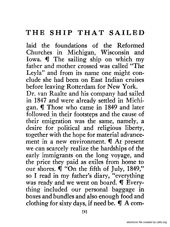laid the foundations of the Reformed Churches in Michigan, Wisconsin and Iowa. **I** The sailing ship on which my father and mother crossed was called "The Leyla" and from its name one might conclude she had been on East Indian cruises before leaving Rotterdam for New York. Dr. van Raalte and his company had sailed in 1847 and were already settled in Michigan. **I** Those who came in 1849 and later followed in their footsteps and the cause of their emigration was the same, namely, a desire for political and religious liberty, together with the hope for material advancement in a new environment.  $\mathbb I$  At present we can scarcely realize the hardships of the early immigrants on the long voyage, and

the price they paid as exiles from home to our shores.  $\mathbb{I}$  "On the fifth of July, 1849," so I read in my father's diary, "everything was ready and we went on board.  $\P$  Everything included our personal baggage in boxes and bundles and also enough food and clothing for sixty days, if need be.  $\P$  A com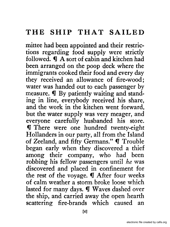mittee had been appointed and their restrictions regarding food supply were strictly followed.  $\P$  A sort of cabin and kitchen had been arranged on the poop deck where the immigrants cooked their food and every day they received an allowance of fire-wood; water was handed out to each passenger by measure. **I** By patiently waiting and standing in line, everybody received his share, and the work in the kitchen went forward, but the water supply was very meager, and everyone carefully husbanded his store. **If** There were one hundred twenty-eight Hollanders in our party, all from the Island of Zeeland, and fifty Germans." If Trouble began early when they discovered a thief among their company, who had been robbing his fellow passengers until *he* was discovered and placed in confinement for the rest of the voyage.  $\P$  After four weeks of calm weather a storm broke loose which lasted for many days.  $\P$  Waves dashed over the ship, and carried away the open hearth scattering fire-brands which caused an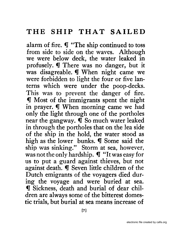alarm of fire.  $\P$  "The ship continued to toss from side to side on the waves. Although we were below deck, the water leaked in profusely. I There was no danger, but it was disagreable. **When night came we** were forbidden to light the four or five lanterns which were under the poop-decks. This was to prevent the danger of fire. **If** Most of the immigrants spent the night in prayer. **I** When morning came we had only the light through one of the portholes near the gangway.  $\mathbb I$  So much water leaked in through the portholes that on the lea side of the ship in the hold, the water stood as high as the lower bunks.  $\P$  Some said the ship was sinking." Storm at sea, however, was not the only hardship.  $\P'$  "It was easy for us to put a guard against thieves, but not against death. **I** Seven little children of the Dutch emigrants of the voyagers died during the voyage and were buried at sea. **If** Sickness, death and burial of dear children are always some of the bitterest domestic trials, but burial at sea means increase of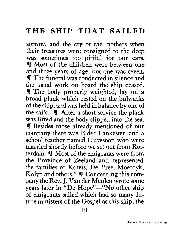sorrow, and the cry of the mothers when their treasures were consigned to the deep was sometimes too pitiful for our ears. **If** Most of the children were between one and three years of age, but one was seven. **If** The funeral was conducted in silence and the usual work on board the ship ceased. **If** The body properly weighted, lay on a broad plank which rested on the bulwarks of the ship, and was held in balance by one of the sails.  $\mathbb I$  After a short service the plank was lifted and the body slipped into the sea. **If** Besides those already mentioned of our company there was Elder Lankester, and a school teacher named Huyssoon who were married shortly before we set out from Rotterdam.  $\P$  Most of the emigrants were from the Province of ,Zeeland and represented the families of Kotvis, De Pree, Moerdyk, Kolyn and others."  $\P$  Concerning this company the Rev. J. Van der Meulen wrote some years later in "De Hope"—"No other ship of emigrants sailed which had so many future ministers of the Gospel as this ship, the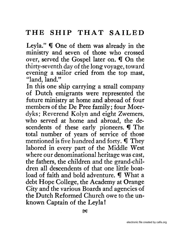Leyla."  $\P$  One of them was already in the ministry and seven of those who crossed over, served the Gospel later on.  $\P$  On the thirty-seventh day of the long voyage, toward evening a sailor cried from the top mast, "land, land."

In this one ship carrying a small company of Dutch emigrants were represented the future ministry at home and abroad of four members of the De Pree family; four Moerdyks; Reverend Kolyn and eight Zwemers, who served at home and abroad, the descendents of these early pioneers. If The total number of years of service of those mentioned is five hundred and forty.  $\P$  They labored in every part of the Middle West where our denominational heritage was cast, the fathers, the children and the grand-children all descendents of that one little boatload of faith and bold adventure.  $\P$  What a debt Hope College, the Academy at Orange City and the various Boards and agencies of the Dutch Reformed Church owe to the unknown Captain of the Leyla!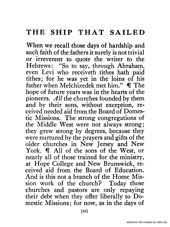When we recall those days of hardship and such faith of the fathers it surely is not trivial or irreverent to quote the writer to the Hebrews: "So to say, through Abraham, even Levi who receiveth tithes hath paid tithes; for he was yet in the loins of his father when Melchizedek met him."  $\blacksquare$  The hope of future years was in the hearts of the pioneers. All the churches founded by them and by their sons, without exception, received needed aid from the Board of Domestic Missions. The strong congregations of the Middle West were not always strong; they grew strong by degrees, because they were nurtured by the prayers and gifts of the older churches in New Jersey and New York. If All of the sons of the West, or nearly all of those trained for the ministry, at Hope College and New Brunswick, received aid from the Board of Education. And is this not a branch of the Home Mission work of the church? Today those churches and pastors are only repaying their debt when they offer liberally to Domestic Missions; for now, as in the days of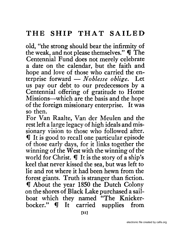old, "the strong should bear the infirmity of the weak, and not please themselves."  $\mathbf{\Psi}$  The Centennial Fund does not merely celebrate a date on the calendar, but the faith and hope and love of those who carried the enterprise forward - *Noblesse oblige*. Let us pay our debt to our predecessors by a Centennial offering of gratitude to Home Missions-which are the basis and the hope of the foreign missionary enterprise. It was so then.

For Van Raalte, Van der Meulen and the rest left a large legacy of high ideals and missionary vision to those who followed after.  $\P$  It is good to recall one particular episode of those early days, for it links together the winning of the West with the winning of the world for Christ.  $\P$  It is the story of a ship's keel that never kissed the sea, but was left to lie and rot where it had been hewn from the forest giants. Truth is stranger than fiction. If About the year 1850 the Dutch Colony on the shores of Black Lake purchased a sailboat which they named "The Knickerbocker."  $\mathbb I$  It carried supplies from.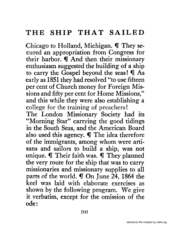Chicago to Holland, Michigan.  $\P$  They secured an appropriation from Congress for their harbor. I And then their missionary enthusiasm suggested the building of a ship to carry the Gospel beyond the seas!  $\P$  As early as 1851 they had resolved "to use fifteen per cent of Church money for Foreign Missions and fifty per cent for Home Missions," and this while they were also establishing a college for the training of preachers!

The London Missionary Society had its ~'Morning Star" carrying the good tidings in the South Seas, and the American Board also used this agency.  $\P$  The idea therefore of the immigrants, among whom were artisans and sailors to build a ship, was not unique.  $\P$  Their faith was.  $\P$  They planned the very route for the ship that was to carry missionaries and missionary supplies to all parts of the world.  $\P$  On June 24, 1864 the keel was laid with elaborate exercises as shown by the following program. We give it verbatim, except for the omission of the ode: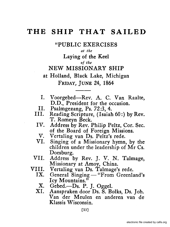"PUBLIC EXERCISES

*at the* 

Laying of the Keel

*of the* 

NEW MISSIONARY SHIP

at Holland, Black Lake, Michigan FRIDAY, JUNE 24, 1864

- I. Voorgebed-Rev. A. C. Van Raalte, D.D., President for the occasion.
- II. Psalmgezang, Ps. 72:3, 4.<br>III. Reading Scripture. (Isaiah
- Reading Scripture, (Isaiah  $60$ :) by Rev. T. Romeyn Beck.
- IV. Address by Rev. Philip Peltz, Cor. Sec. of the Board of Foreign Missions.
- V. Vertaling van Ds. Peltz's rede.<br>VI. Singing of a Missionary hymn
- Singing of a Missionary hymn, by the children under the leadership of Mr Cs. Doesburg.
- VII. Address by Rev. J. V. N. Talmage, Missionary at Amoy, China.
- VIII. Vertaling van Ds. Talmage's rede.<br>IX. General Singing "From Greenla
	- General  $Singing "From Greenland's$ Icy Mountains."
	- X. Gebed.--Ds. P. J. Oggel.<br>XI. Aanspraken door Ds. S. Be
	- Aanspraken door Ds. S. Bolks, Ds. Joh. Van der Meulen en anderen van de Klassis Wisconsin.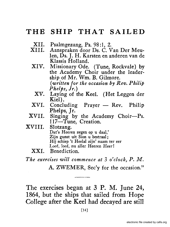- XII. Psalmgezang, Ps. 98:1, 2.<br>XIII. Aanspraken door Ds. C. V
- Aanspraken door Ds. C. Van Der Meulen, Ds. J. H. Karsten en anderen van de Klassis Holland.
- XIV. Missionary Ode. (Tune, Rockvale) by the Academy Choir under the leadership of Mr. Wm. B. Gilmore. *(written for the occasion by Rev. Philip Phelps, Jr.)* 
	- XV. Laying of the Keel. (Het Leggen der Kiel).
- $XVI.$  Concluding Prayer  $-$  Rev. Philip Phelps, Jr.
- XVII. Singing by the Academy Choir-Ps. 117-Tune, Creation.

XVIII. Slotzang. Dat's Heeren zegen op u daal,' Zijn gunst uit Sion u bestraal: Hij schiep 't Heelal zijn' naam ter eer Loof, loof, nu aller Heeren Heer!

XXI. Benediction.

*The exercises will commence at* 3 *o'clock, P. M.*  A. ZWEMER, Sec'y for the occasion."

The exercises began at 3 P. M. June 24, 1864, but the ships that sailed from Hope College after the Keel had decayed are still